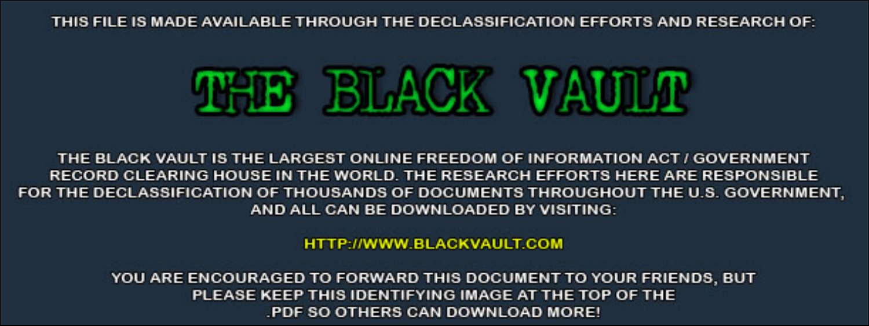THIS FILE IS MADE AVAILABLE THROUGH THE DECLASSIFICATION EFFORTS AND RESEARCH OF:



THE BLACK VAULT IS THE LARGEST ONLINE FREEDOM OF INFORMATION ACT / GOVERNMENT RECORD CLEARING HOUSE IN THE WORLD. THE RESEARCH EFFORTS HERE ARE RESPONSIBLE FOR THE DECLASSIFICATION OF THOUSANDS OF DOCUMENTS THROUGHOUT THE U.S. GOVERNMENT, AND ALL CAN BE DOWNLOADED BY VISITING:

**HTTP://WWW.BLACKVAULT.COM** 

YOU ARE ENCOURAGED TO FORWARD THIS DOCUMENT TO YOUR FRIENDS, BUT PLEASE KEEP THIS IDENTIFYING IMAGE AT THE TOP OF THE PDF SO OTHERS CAN DOWNLOAD MORE!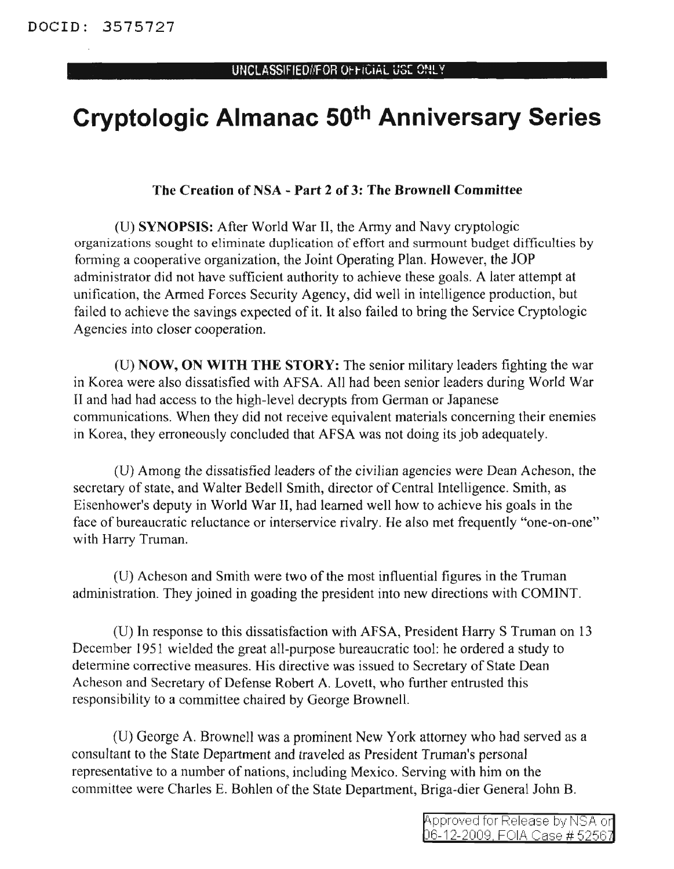## **Cryptologic Almanac 50th Anniversary Series**

## The Creation of NSA - Part 2 of 3: The Brownell Committee

(D) SYNOPSIS: After World War II, the Anny and Navy cryptologic organizations sought to eliminate duplication of effort and sunnount budget difficulties by forming a cooperative organization, the Joint Operating Plan. However, the JOP administrator did not have sufficient authority to achieve these goals. A later attempt at unification, the Armed Forces Security Agency, did well in intelligence production, but failed to achieve the savings expected of it. It also failed to bring the Service Cryptologic *Agencies into* closer cooperation.

(D) NOW, ON WITH THE STORY: The senior military leaders fighting the war in Korea were also dissatisfied with AFSA. All had been senior leaders during World War II and had had access to the high-level decrypts from German or Japanese communications. When they did not receive equivalent materials concerning their enemies in Korea, they erroneously concluded that AFSA was not doing its job adequately.

(U) Among the dissatisfied leaders of the civilian agencies were Dean Acheson, the secretary of state, and Walter Bedell Smith, director of Central Intelligence. Smith, as Eisenhower's deputy in World War II, had learned well how to achieve his goals in the face of bureaucratic reluctance or interservice rivalry. He also met frequently "one-on-one" with Harry Truman.

(D) Acheson and Smith were two ofthe most influential figures in the Truman administration. They joined in goading the president into new directions with COMINT.

(U) In response to this dissatisfaction with AFSA, President Harry S Truman on 13 December 1951 wielded the great all-purpose bureaucratic tool: he ordered a study to determine corrective measures. His directive was issued to Secretary of State Dean Acheson and Secretary of Defense Robert A. Lovett, who further entrusted this responsibility to a committee chaired by George Brownell.

(U) George A. Brownell was a prominent New York attorney who had served as a consultant to the State Department and traveled as President Truman's personal representative to a number of nations, including Mexico. Serving with him on the committee were Charles E. Bohlen of the State Department, Briga-dier General John B.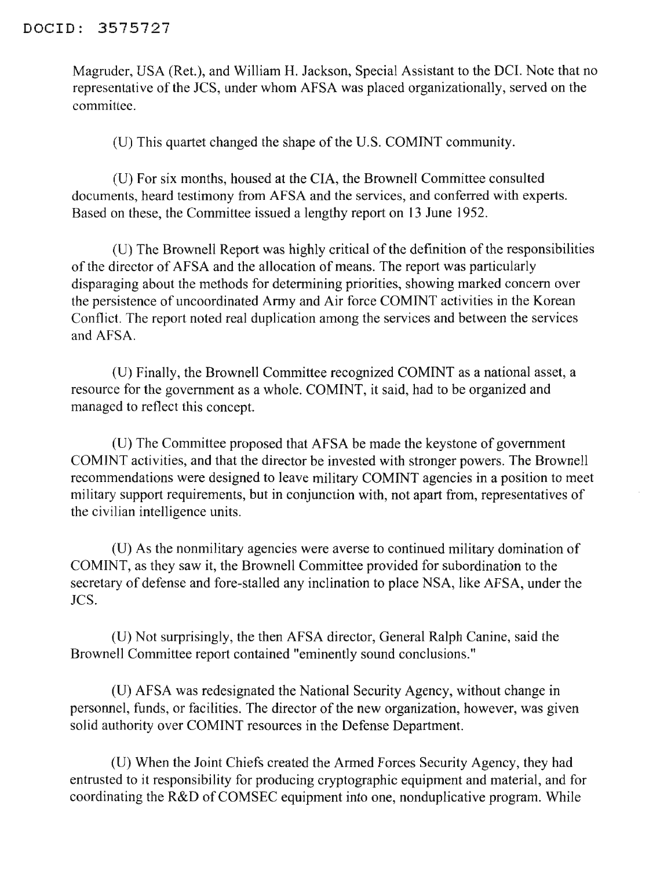Magruder, VSA (Ret.), and William H. Jackson, Special Assistant to the DCI. Note that no representative of the JCS, under whom AFSA was placed organizationally, served on the committee.

(U) This quartet changed the shape of the U.S. COMINT community.

(D) For six months, housed at the CIA, the Brownell Committee consulted documents, heard testimony from AFSA and the services, and conferred with experts. Based on these, the Committee issued a lengthy report on 13 June 1952.

(U) The Brownell Report was highly critical of the definition of the responsibilities of the director of AFSA and the allocation of means. The report was particularly disparaging about the methods for determining priorities, showing marked concern over the persistence of uncoordinated Army and Air force COMINT activities in the Korean Conflict. The report noted real duplication among the services and between the services and AFSA.

(V) Finally, the Brownell Committee recognized COMINT as a national asset, a resource for the government as a whole. COMINT, it said, had to be organized and managed to reflect this concept.

(D) The Committee proposed that AFSA be made the keystone of government COMINT activities, and that the director be invested with stronger powers. The Brownell recommendations were designed to leave military COMINT agencies in a position to meet military support requirements, but in conjunction with, not apart from, representatives of the civilian intelligence units.

(V) As the nonmilitary agencies were averse to continued military domination of COMINT, as they saw it, the Brownell Committee provided for subordination to the secretary of defense and fore-stalled any inclination to place NSA, like AFSA, under the JCS.

(V) Not surprisingly, the then AFSA director, General Ralph Canine, said the Brownell Committee report contained "eminently sound conclusions."

(V) AFSA was redesignated the National Security Agency, without change in personnel, funds, or facilities. The director of the new organization, however, was given solid authority over COMINT resources in the Defense Department.

(D) When the Joint Chiefs created the Armed Forces Security Agency, they had entrusted to it responsibility for producing cryptographic equipment and material, and for coordinating the  $R&D$  of COMSEC equipment into one, nonduplicative program. While